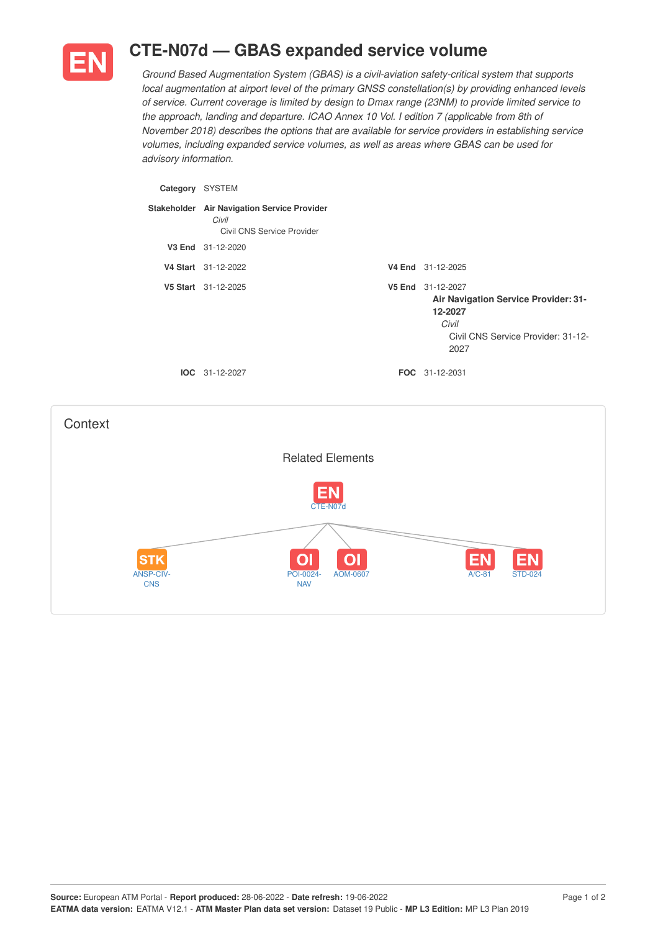

## **CTE-N07d — GBAS expanded service volume**

*Ground Based Augmentation System (GBAS) is a civil-aviation safety-critical system that supports local augmentation at airport level of the primary GNSS constellation(s) by providing enhanced levels of service. Current coverage is limited by design to Dmax range (23NM) to provide limited service to the approach, landing and departure. ICAO Annex 10 Vol. I edition 7 (applicable from 8th of November 2018) describes the options that are available for service providers in establishing service volumes, including expanded service volumes, as well as areas where GBAS can be used for advisory information.*

| Category | <b>SYSTEM</b>                                                                      |                                                                                                                             |
|----------|------------------------------------------------------------------------------------|-----------------------------------------------------------------------------------------------------------------------------|
|          | Stakeholder Air Navigation Service Provider<br>Civil<br>Civil CNS Service Provider |                                                                                                                             |
|          | V3 End 31-12-2020                                                                  |                                                                                                                             |
|          | V4 Start 31-12-2022                                                                | V4 End 31-12-2025                                                                                                           |
|          | V5 Start 31-12-2025                                                                | V5 End 31-12-2027<br>Air Navigation Service Provider: 31-<br>12-2027<br>Civil<br>Civil CNS Service Provider: 31-12-<br>2027 |
|          | $IOC 31-12-2027$                                                                   | <b>FOC</b> 31-12-2031                                                                                                       |